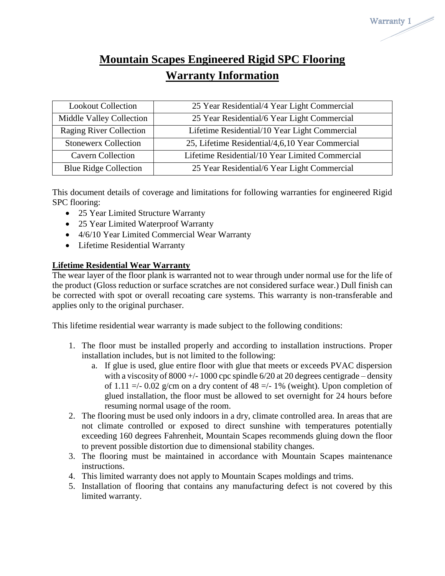# **Mountain Scapes Engineered Rigid SPC Flooring Warranty Information**

Warranty 1

| <b>Lookout Collection</b>       | 25 Year Residential/4 Year Light Commercial     |
|---------------------------------|-------------------------------------------------|
| <b>Middle Valley Collection</b> | 25 Year Residential/6 Year Light Commercial     |
| <b>Raging River Collection</b>  | Lifetime Residential/10 Year Light Commercial   |
| <b>Stonewerx Collection</b>     | 25, Lifetime Residential/4,6,10 Year Commercial |
| <b>Cavern Collection</b>        | Lifetime Residential/10 Year Limited Commercial |
| <b>Blue Ridge Collection</b>    | 25 Year Residential/6 Year Light Commercial     |

This document details of coverage and limitations for following warranties for engineered Rigid SPC flooring:

- 25 Year Limited Structure Warranty
- 25 Year Limited Waterproof Warranty
- 4/6/10 Year Limited Commercial Wear Warranty
- Lifetime Residential Warranty

# **Lifetime Residential Wear Warranty**

The wear layer of the floor plank is warranted not to wear through under normal use for the life of the product (Gloss reduction or surface scratches are not considered surface wear.) Dull finish can be corrected with spot or overall recoating care systems. This warranty is non-transferable and applies only to the original purchaser.

This lifetime residential wear warranty is made subject to the following conditions:

- 1. The floor must be installed properly and according to installation instructions. Proper installation includes, but is not limited to the following:
	- a. If glue is used, glue entire floor with glue that meets or exceeds PVAC dispersion with a viscosity of  $8000 +/- 1000$  cpc spindle  $6/20$  at 20 degrees centigrade – density of 1.11  $\approx$  -/- 0.02 g/cm on a dry content of 48  $\approx$  -/- 1% (weight). Upon completion of glued installation, the floor must be allowed to set overnight for 24 hours before resuming normal usage of the room.
- 2. The flooring must be used only indoors in a dry, climate controlled area. In areas that are not climate controlled or exposed to direct sunshine with temperatures potentially exceeding 160 degrees Fahrenheit, Mountain Scapes recommends gluing down the floor to prevent possible distortion due to dimensional stability changes.
- 3. The flooring must be maintained in accordance with Mountain Scapes maintenance instructions.
- 4. This limited warranty does not apply to Mountain Scapes moldings and trims.
- 5. Installation of flooring that contains any manufacturing defect is not covered by this limited warranty.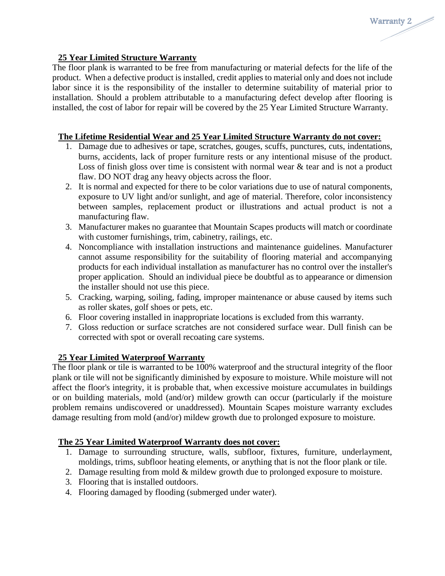#### **25 Year Limited Structure Warranty**

The floor plank is warranted to be free from manufacturing or material defects for the life of the product. When a defective product is installed, credit applies to material only and does not include labor since it is the responsibility of the installer to determine suitability of material prior to installation. Should a problem attributable to a manufacturing defect develop after flooring is installed, the cost of labor for repair will be covered by the 25 Year Limited Structure Warranty.

Warranty 2

#### **The Lifetime Residential Wear and 25 Year Limited Structure Warranty do not cover:**

- 1. Damage due to adhesives or tape, scratches, gouges, scuffs, punctures, cuts, indentations, burns, accidents, lack of proper furniture rests or any intentional misuse of the product. Loss of finish gloss over time is consistent with normal wear  $\&$  tear and is not a product flaw. DO NOT drag any heavy objects across the floor.
- 2. It is normal and expected for there to be color variations due to use of natural components, exposure to UV light and/or sunlight, and age of material. Therefore, color inconsistency between samples, replacement product or illustrations and actual product is not a manufacturing flaw.
- 3. Manufacturer makes no guarantee that Mountain Scapes products will match or coordinate with customer furnishings, trim, cabinetry, railings, etc.
- 4. Noncompliance with installation instructions and maintenance guidelines. Manufacturer cannot assume responsibility for the suitability of flooring material and accompanying products for each individual installation as manufacturer has no control over the installer's proper application. Should an individual piece be doubtful as to appearance or dimension the installer should not use this piece.
- 5. Cracking, warping, soiling, fading, improper maintenance or abuse caused by items such as roller skates, golf shoes or pets, etc.
- 6. Floor covering installed in inappropriate locations is excluded from this warranty.
- 7. Gloss reduction or surface scratches are not considered surface wear. Dull finish can be corrected with spot or overall recoating care systems.

# **25 Year Limited Waterproof Warranty**

The floor plank or tile is warranted to be 100% waterproof and the structural integrity of the floor plank or tile will not be significantly diminished by exposure to moisture. While moisture will not affect the floor's integrity, it is probable that, when excessive moisture accumulates in buildings or on building materials, mold (and/or) mildew growth can occur (particularly if the moisture problem remains undiscovered or unaddressed). Mountain Scapes moisture warranty excludes damage resulting from mold (and/or) mildew growth due to prolonged exposure to moisture.

# **The 25 Year Limited Waterproof Warranty does not cover:**

- 1. Damage to surrounding structure, walls, subfloor, fixtures, furniture, underlayment, moldings, trims, subfloor heating elements, or anything that is not the floor plank or tile.
- 2. Damage resulting from mold & mildew growth due to prolonged exposure to moisture.
- 3. Flooring that is installed outdoors.
- 4. Flooring damaged by flooding (submerged under water).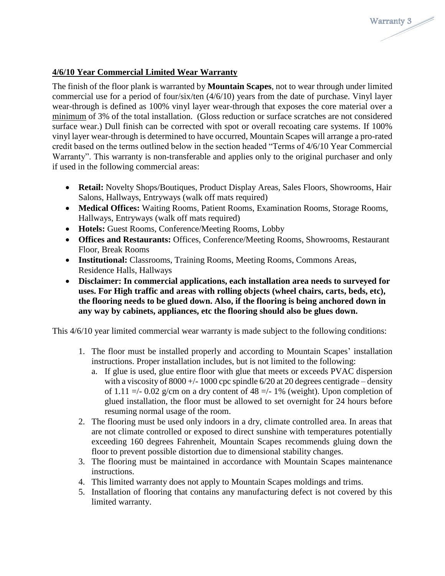#### **4/6/10 Year Commercial Limited Wear Warranty**

The finish of the floor plank is warranted by **Mountain Scapes**, not to wear through under limited commercial use for a period of four/six/ten (4/6/10) years from the date of purchase. Vinyl layer wear-through is defined as 100% vinyl layer wear-through that exposes the core material over a minimum of 3% of the total installation. (Gloss reduction or surface scratches are not considered surface wear.) Dull finish can be corrected with spot or overall recoating care systems. If 100% vinyl layer wear-through is determined to have occurred, Mountain Scapes will arrange a pro-rated credit based on the terms outlined below in the section headed "Terms of 4/6/10 Year Commercial Warranty". This warranty is non-transferable and applies only to the original purchaser and only if used in the following commercial areas:

- **Retail:** Novelty Shops/Boutiques, Product Display Areas, Sales Floors, Showrooms, Hair Salons, Hallways, Entryways (walk off mats required)
- **Medical Offices:** Waiting Rooms, Patient Rooms, Examination Rooms, Storage Rooms, Hallways, Entryways (walk off mats required)
- **Hotels:** Guest Rooms, Conference/Meeting Rooms, Lobby
- **Offices and Restaurants:** Offices, Conference/Meeting Rooms, Showrooms, Restaurant Floor, Break Rooms
- **Institutional:** Classrooms, Training Rooms, Meeting Rooms, Commons Areas, Residence Halls, Hallways
- **Disclaimer: In commercial applications, each installation area needs to surveyed for uses. For High traffic and areas with rolling objects (wheel chairs, carts, beds, etc), the flooring needs to be glued down. Also, if the flooring is being anchored down in any way by cabinets, appliances, etc the flooring should also be glues down.**

This 4/6/10 year limited commercial wear warranty is made subject to the following conditions:

- 1. The floor must be installed properly and according to Mountain Scapes' installation instructions. Proper installation includes, but is not limited to the following:
	- a. If glue is used, glue entire floor with glue that meets or exceeds PVAC dispersion with a viscosity of  $8000 + (-1000$  cpc spindle  $6/20$  at 20 degrees centigrade – density of 1.11  $\approx$  -/- 0.02 g/cm on a dry content of 48  $\approx$  -/- 1% (weight). Upon completion of glued installation, the floor must be allowed to set overnight for 24 hours before resuming normal usage of the room.
- 2. The flooring must be used only indoors in a dry, climate controlled area. In areas that are not climate controlled or exposed to direct sunshine with temperatures potentially exceeding 160 degrees Fahrenheit, Mountain Scapes recommends gluing down the floor to prevent possible distortion due to dimensional stability changes.
- 3. The flooring must be maintained in accordance with Mountain Scapes maintenance instructions.
- 4. This limited warranty does not apply to Mountain Scapes moldings and trims.
- 5. Installation of flooring that contains any manufacturing defect is not covered by this limited warranty.